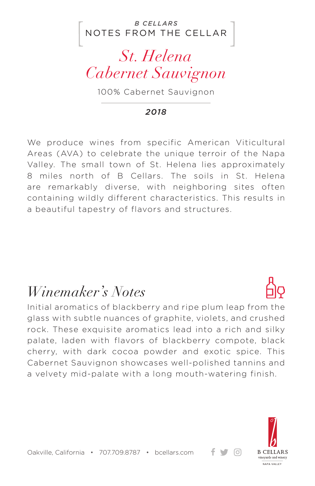NOTES FROM THE CELLAR *B CELLARS*

## *St. Helena Cabernet Sauvignon*

100% Cabernet Sauvignon

#### *2018*

We produce wines from specific American Viticultural Areas (AVA) to celebrate the unique terroir of the Napa Valley. The small town of St. Helena lies approximately 8 miles north of B Cellars. The soils in St. Helena are remarkably diverse, with neighboring sites often containing wildly different characteristics. This results in a beautiful tapestry of flavors and structures.

### *Winemaker's Notes*

Initial aromatics of blackberry and ripe plum leap from the glass with subtle nuances of graphite, violets, and crushed rock. These exquisite aromatics lead into a rich and silky palate, laden with flavors of blackberry compote, black cherry, with dark cocoa powder and exotic spice. This Cabernet Sauvignon showcases well-polished tannins and a velvety mid-palate with a long mouth-watering finish.



+ ਚ ⊙